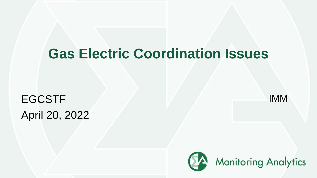# **Gas Electric Coordination Issues**

EGCSTF NMM April 20, 2022

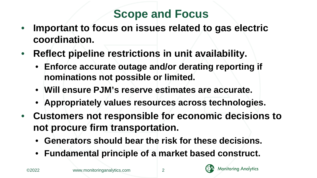### **Scope and Focus**

- **Important to focus on issues related to gas electric coordination.**
- **Reflect pipeline restrictions in unit availability.**
	- **Enforce accurate outage and/or derating reporting if nominations not possible or limited.**
	- **Will ensure PJM's reserve estimates are accurate.**
	- **Appropriately values resources across technologies.**
- **Customers not responsible for economic decisions to not procure firm transportation.**
	- **Generators should bear the risk for these decisions.**
	- **Fundamental principle of a market based construct.**

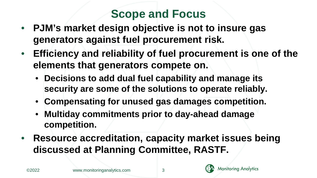#### **Scope and Focus**

- **PJM's market design objective is not to insure gas generators against fuel procurement risk.**
- **Efficiency and reliability of fuel procurement is one of the elements that generators compete on.**
	- **Decisions to add dual fuel capability and manage its security are some of the solutions to operate reliably.**
	- **Compensating for unused gas damages competition.**
	- **Multiday commitments prior to day-ahead damage competition.**
- **Resource accreditation, capacity market issues being discussed at Planning Committee, RASTF.**



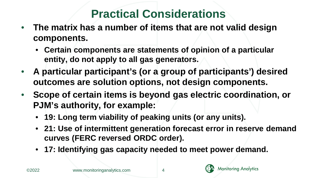### **Practical Considerations**

- **The matrix has a number of items that are not valid design components.**
	- **Certain components are statements of opinion of a particular entity, do not apply to all gas generators.**
- **A particular participant's (or a group of participants') desired outcomes are solution options, not design components.**
- **Scope of certain items is beyond gas electric coordination, or PJM's authority, for example:**
	- **19: Long term viability of peaking units (or any units).**
	- **21: Use of intermittent generation forecast error in reserve demand curves (FERC reversed ORDC order).**
	- **17: Identifying gas capacity needed to meet power demand.**



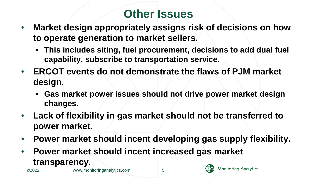## **Other Issues**

- **Market design appropriately assigns risk of decisions on how to operate generation to market sellers.**
	- **This includes siting, fuel procurement, decisions to add dual fuel capability, subscribe to transportation service.**
- **ERCOT events do not demonstrate the flaws of PJM market design.**
	- **Gas market power issues should not drive power market design changes.**
- **Lack of flexibility in gas market should not be transferred to power market.**
- **Power market should incent developing gas supply flexibility.**
- **Power market should incent increased gas market transparency.**